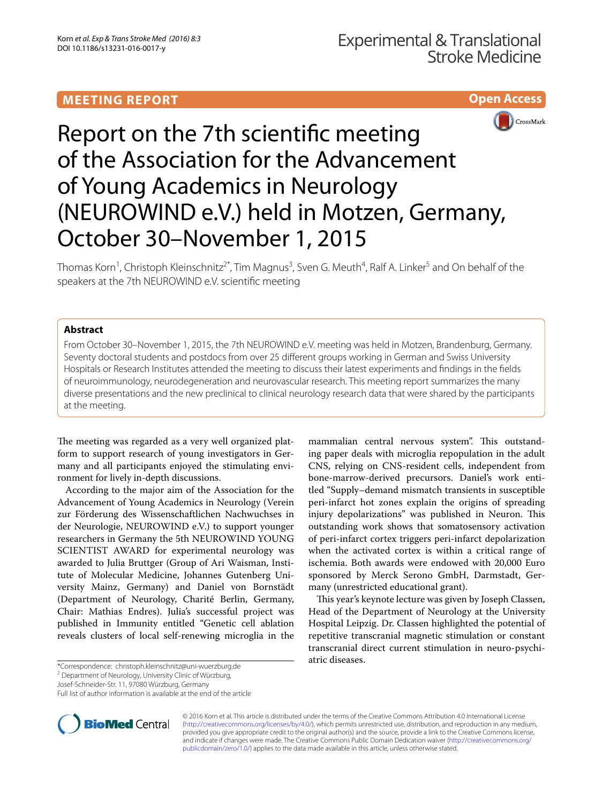## **MEETING REPORT**





# Report on the 7th scientific meeting of the Association for the Advancement of Young Academics in Neurology (NEUROWIND e.V.) held in Motzen, Germany, October 30–November 1, 2015

Thomas Korn<sup>1</sup>, Christoph Kleinschnitz<sup>2\*</sup>, Tim Magnus<sup>3</sup>, Sven G. Meuth<sup>4</sup>, Ralf A. Linker<sup>5</sup> and On behalf of the speakers at the 7th NEUROWIND e.V. scientific meeting

## **Abstract**

From October 30–November 1, 2015, the 7th NEUROWIND e.V. meeting was held in Motzen, Brandenburg, Germany. Seventy doctoral students and postdocs from over 25 different groups working in German and Swiss University Hospitals or Research Institutes attended the meeting to discuss their latest experiments and findings in the fields of neuroimmunology, neurodegeneration and neurovascular research. This meeting report summarizes the many diverse presentations and the new preclinical to clinical neurology research data that were shared by the participants at the meeting.

The meeting was regarded as a very well organized platform to support research of young investigators in Germany and all participants enjoyed the stimulating environment for lively in-depth discussions.

According to the major aim of the Association for the Advancement of Young Academics in Neurology (Verein zur Förderung des Wissenschaftlichen Nachwuchses in der Neurologie, NEUROWIND e.V.) to support younger researchers in Germany the 5th NEUROWIND YOUNG SCIENTIST AWARD for experimental neurology was awarded to Julia Bruttger (Group of Ari Waisman, Institute of Molecular Medicine, Johannes Gutenberg University Mainz, Germany) and Daniel von Bornstädt (Department of Neurology, Charité Berlin, Germany, Chair: Mathias Endres). Julia's successful project was published in Immunity entitled "Genetic cell ablation reveals clusters of local self-renewing microglia in the

\*Correspondence: christoph.kleinschnitz@uni‑wuerzburg.de

Josef‑Schneider‑Str. 11, 97080 Würzburg, Germany



This year's keynote lecture was given by Joseph Classen, Head of the Department of Neurology at the University Hospital Leipzig. Dr. Classen highlighted the potential of repetitive transcranial magnetic stimulation or constant transcranial direct current stimulation in neuro-psychiatric diseases.



© 2016 Korn et al. This article is distributed under the terms of the Creative Commons Attribution 4.0 International License [\(http://creativecommons.org/licenses/by/4.0/\)](http://creativecommons.org/licenses/by/4.0/), which permits unrestricted use, distribution, and reproduction in any medium, provided you give appropriate credit to the original author(s) and the source, provide a link to the Creative Commons license, and indicate if changes were made. The Creative Commons Public Domain Dedication waiver ([http://creativecommons.org/](http://creativecommons.org/publicdomain/zero/1.0/) [publicdomain/zero/1.0/](http://creativecommons.org/publicdomain/zero/1.0/)) applies to the data made available in this article, unless otherwise stated.

<sup>&</sup>lt;sup>2</sup> Department of Neurology, University Clinic of Würzburg,

Full list of author information is available at the end of the article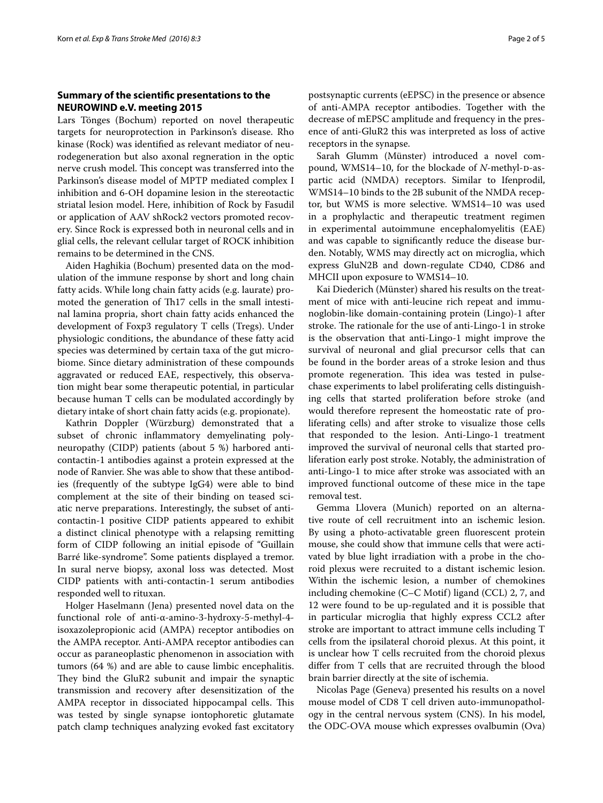## **Summary of the scientific presentations to the NEUROWIND e.V. meeting 2015**

Lars Tönges (Bochum) reported on novel therapeutic targets for neuroprotection in Parkinson's disease. Rho kinase (Rock) was identified as relevant mediator of neurodegeneration but also axonal regneration in the optic nerve crush model. This concept was transferred into the Parkinson's disease model of MPTP mediated complex I inhibition and 6-OH dopamine lesion in the stereotactic striatal lesion model. Here, inhibition of Rock by Fasudil or application of AAV shRock2 vectors promoted recovery. Since Rock is expressed both in neuronal cells and in glial cells, the relevant cellular target of ROCK inhibition remains to be determined in the CNS.

Aiden Haghikia (Bochum) presented data on the modulation of the immune response by short and long chain fatty acids. While long chain fatty acids (e.g. laurate) promoted the generation of Th17 cells in the small intestinal lamina propria, short chain fatty acids enhanced the development of Foxp3 regulatory T cells (Tregs). Under physiologic conditions, the abundance of these fatty acid species was determined by certain taxa of the gut microbiome. Since dietary administration of these compounds aggravated or reduced EAE, respectively, this observation might bear some therapeutic potential, in particular because human T cells can be modulated accordingly by dietary intake of short chain fatty acids (e.g. propionate).

Kathrin Doppler (Würzburg) demonstrated that a subset of chronic inflammatory demyelinating polyneuropathy (CIDP) patients (about 5 %) harbored anticontactin-1 antibodies against a protein expressed at the node of Ranvier. She was able to show that these antibodies (frequently of the subtype IgG4) were able to bind complement at the site of their binding on teased sciatic nerve preparations. Interestingly, the subset of anticontactin-1 positive CIDP patients appeared to exhibit a distinct clinical phenotype with a relapsing remitting form of CIDP following an initial episode of "Guillain Barré like-syndrome". Some patients displayed a tremor. In sural nerve biopsy, axonal loss was detected. Most CIDP patients with anti-contactin-1 serum antibodies responded well to rituxan.

Holger Haselmann (Jena) presented novel data on the functional role of anti-α-amino-3-hydroxy-5-methyl-4 isoxazolepropionic acid (AMPA) receptor antibodies on the AMPA receptor. Anti-AMPA receptor antibodies can occur as paraneoplastic phenomenon in association with tumors (64 %) and are able to cause limbic encephalitis. They bind the GluR2 subunit and impair the synaptic transmission and recovery after desensitization of the AMPA receptor in dissociated hippocampal cells. This was tested by single synapse iontophoretic glutamate patch clamp techniques analyzing evoked fast excitatory

postsynaptic currents (eEPSC) in the presence or absence of anti-AMPA receptor antibodies. Together with the decrease of mEPSC amplitude and frequency in the presence of anti-GluR2 this was interpreted as loss of active receptors in the synapse.

Sarah Glumm (Münster) introduced a novel compound, WMS14–10, for the blockade of *N*-methyl-p-aspartic acid (NMDA) receptors. Similar to Ifenprodil, WMS14–10 binds to the 2B subunit of the NMDA receptor, but WMS is more selective. WMS14–10 was used in a prophylactic and therapeutic treatment regimen in experimental autoimmune encephalomyelitis (EAE) and was capable to significantly reduce the disease burden. Notably, WMS may directly act on microglia, which express GluN2B and down-regulate CD40, CD86 and MHCII upon exposure to WMS14–10.

Kai Diederich (Münster) shared his results on the treatment of mice with anti-leucine rich repeat and immunoglobin-like domain-containing protein (Lingo)-1 after stroke. The rationale for the use of anti-Lingo-1 in stroke is the observation that anti-Lingo-1 might improve the survival of neuronal and glial precursor cells that can be found in the border areas of a stroke lesion and thus promote regeneration. This idea was tested in pulsechase experiments to label proliferating cells distinguishing cells that started proliferation before stroke (and would therefore represent the homeostatic rate of proliferating cells) and after stroke to visualize those cells that responded to the lesion. Anti-Lingo-1 treatment improved the survival of neuronal cells that started proliferation early post stroke. Notably, the administration of anti-Lingo-1 to mice after stroke was associated with an improved functional outcome of these mice in the tape removal test.

Gemma Llovera (Munich) reported on an alternative route of cell recruitment into an ischemic lesion. By using a photo-activatable green fluorescent protein mouse, she could show that immune cells that were activated by blue light irradiation with a probe in the choroid plexus were recruited to a distant ischemic lesion. Within the ischemic lesion, a number of chemokines including chemokine (C–C Motif) ligand (CCL) 2, 7, and 12 were found to be up-regulated and it is possible that in particular microglia that highly express CCL2 after stroke are important to attract immune cells including T cells from the ipsilateral choroid plexus. At this point, it is unclear how T cells recruited from the choroid plexus differ from T cells that are recruited through the blood brain barrier directly at the site of ischemia.

Nicolas Page (Geneva) presented his results on a novel mouse model of CD8 T cell driven auto-immunopathology in the central nervous system (CNS). In his model, the ODC-OVA mouse which expresses ovalbumin (Ova)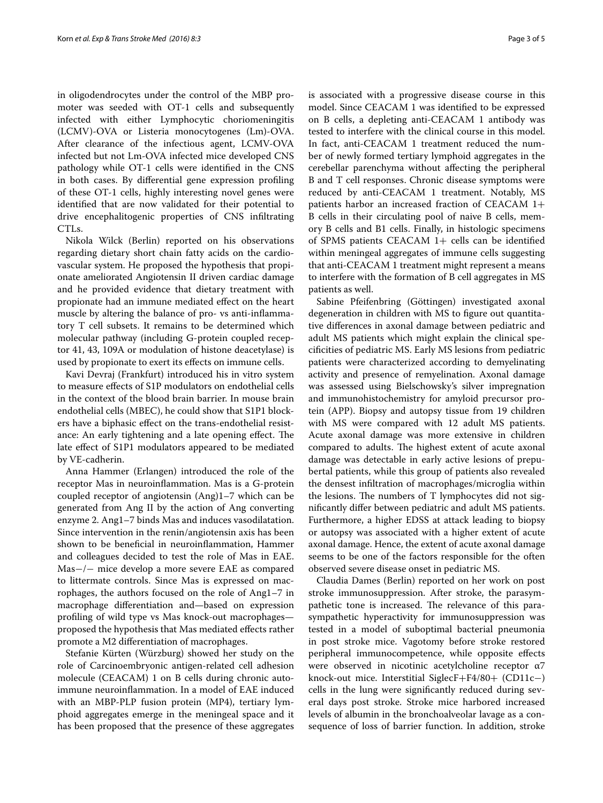in oligodendrocytes under the control of the MBP promoter was seeded with OT-1 cells and subsequently infected with either Lymphocytic choriomeningitis (LCMV)-OVA or Listeria monocytogenes (Lm)-OVA. After clearance of the infectious agent, LCMV-OVA infected but not Lm-OVA infected mice developed CNS pathology while OT-1 cells were identified in the CNS in both cases. By differential gene expression profiling of these OT-1 cells, highly interesting novel genes were identified that are now validated for their potential to drive encephalitogenic properties of CNS infiltrating CTLs.

Nikola Wilck (Berlin) reported on his observations regarding dietary short chain fatty acids on the cardiovascular system. He proposed the hypothesis that propionate ameliorated Angiotensin II driven cardiac damage and he provided evidence that dietary treatment with propionate had an immune mediated effect on the heart muscle by altering the balance of pro- vs anti-inflammatory T cell subsets. It remains to be determined which molecular pathway (including G-protein coupled receptor 41, 43, 109A or modulation of histone deacetylase) is used by propionate to exert its effects on immune cells.

Kavi Devraj (Frankfurt) introduced his in vitro system to measure effects of S1P modulators on endothelial cells in the context of the blood brain barrier. In mouse brain endothelial cells (MBEC), he could show that S1P1 blockers have a biphasic effect on the trans-endothelial resistance: An early tightening and a late opening effect. The late effect of S1P1 modulators appeared to be mediated by VE-cadherin.

Anna Hammer (Erlangen) introduced the role of the receptor Mas in neuroinflammation. Mas is a G-protein coupled receptor of angiotensin (Ang)1–7 which can be generated from Ang II by the action of Ang converting enzyme 2. Ang1–7 binds Mas and induces vasodilatation. Since intervention in the renin/angiotensin axis has been shown to be beneficial in neuroinflammation, Hammer and colleagues decided to test the role of Mas in EAE. Mas−/− mice develop a more severe EAE as compared to littermate controls. Since Mas is expressed on macrophages, the authors focused on the role of Ang1–7 in macrophage differentiation and—based on expression profiling of wild type vs Mas knock-out macrophages proposed the hypothesis that Mas mediated effects rather promote a M2 differentiation of macrophages.

Stefanie Kürten (Würzburg) showed her study on the role of Carcinoembryonic antigen-related cell adhesion molecule (CEACAM) 1 on B cells during chronic autoimmune neuroinflammation. In a model of EAE induced with an MBP-PLP fusion protein (MP4), tertiary lymphoid aggregates emerge in the meningeal space and it has been proposed that the presence of these aggregates is associated with a progressive disease course in this model. Since CEACAM 1 was identified to be expressed on B cells, a depleting anti-CEACAM 1 antibody was tested to interfere with the clinical course in this model. In fact, anti-CEACAM 1 treatment reduced the num-

ber of newly formed tertiary lymphoid aggregates in the cerebellar parenchyma without affecting the peripheral B and T cell responses. Chronic disease symptoms were reduced by anti-CEACAM 1 treatment. Notably, MS patients harbor an increased fraction of CEACAM 1+ B cells in their circulating pool of naive B cells, memory B cells and B1 cells. Finally, in histologic specimens of SPMS patients CEACAM  $1+$  cells can be identified within meningeal aggregates of immune cells suggesting that anti-CEACAM 1 treatment might represent a means to interfere with the formation of B cell aggregates in MS patients as well.

Sabine Pfeifenbring (Göttingen) investigated axonal degeneration in children with MS to figure out quantitative differences in axonal damage between pediatric and adult MS patients which might explain the clinical specificities of pediatric MS. Early MS lesions from pediatric patients were characterized according to demyelinating activity and presence of remyelination. Axonal damage was assessed using Bielschowsky's silver impregnation and immunohistochemistry for amyloid precursor protein (APP). Biopsy and autopsy tissue from 19 children with MS were compared with 12 adult MS patients. Acute axonal damage was more extensive in children compared to adults. The highest extent of acute axonal damage was detectable in early active lesions of prepubertal patients, while this group of patients also revealed the densest infiltration of macrophages/microglia within the lesions. The numbers of T lymphocytes did not significantly differ between pediatric and adult MS patients. Furthermore, a higher EDSS at attack leading to biopsy or autopsy was associated with a higher extent of acute axonal damage. Hence, the extent of acute axonal damage seems to be one of the factors responsible for the often observed severe disease onset in pediatric MS.

Claudia Dames (Berlin) reported on her work on post stroke immunosuppression. After stroke, the parasympathetic tone is increased. The relevance of this parasympathetic hyperactivity for immunosuppression was tested in a model of suboptimal bacterial pneumonia in post stroke mice. Vagotomy before stroke restored peripheral immunocompetence, while opposite effects were observed in nicotinic acetylcholine receptor α7 knock-out mice. Interstitial SiglecF+F4/80+ (CD11c−) cells in the lung were significantly reduced during several days post stroke. Stroke mice harbored increased levels of albumin in the bronchoalveolar lavage as a consequence of loss of barrier function. In addition, stroke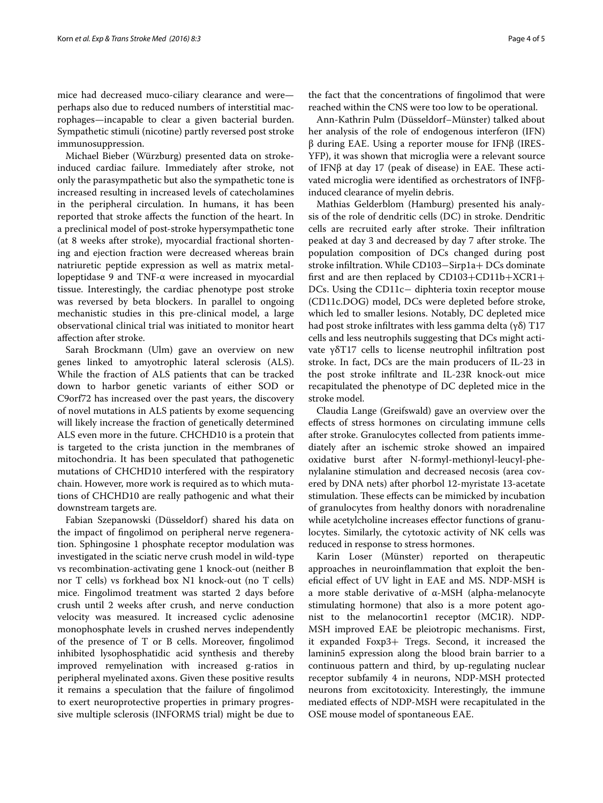mice had decreased muco-ciliary clearance and were perhaps also due to reduced numbers of interstitial macrophages—incapable to clear a given bacterial burden. Sympathetic stimuli (nicotine) partly reversed post stroke immunosuppression.

Michael Bieber (Würzburg) presented data on strokeinduced cardiac failure. Immediately after stroke, not only the parasympathetic but also the sympathetic tone is increased resulting in increased levels of catecholamines in the peripheral circulation. In humans, it has been reported that stroke affects the function of the heart. In a preclinical model of post-stroke hypersympathetic tone (at 8 weeks after stroke), myocardial fractional shortening and ejection fraction were decreased whereas brain natriuretic peptide expression as well as matrix metallopeptidase 9 and TNF-α were increased in myocardial tissue. Interestingly, the cardiac phenotype post stroke was reversed by beta blockers. In parallel to ongoing mechanistic studies in this pre-clinical model, a large observational clinical trial was initiated to monitor heart affection after stroke.

Sarah Brockmann (Ulm) gave an overview on new genes linked to amyotrophic lateral sclerosis (ALS). While the fraction of ALS patients that can be tracked down to harbor genetic variants of either SOD or C9orf72 has increased over the past years, the discovery of novel mutations in ALS patients by exome sequencing will likely increase the fraction of genetically determined ALS even more in the future. CHCHD10 is a protein that is targeted to the crista junction in the membranes of mitochondria. It has been speculated that pathogenetic mutations of CHCHD10 interfered with the respiratory chain. However, more work is required as to which mutations of CHCHD10 are really pathogenic and what their downstream targets are.

Fabian Szepanowski (Düsseldorf) shared his data on the impact of fingolimod on peripheral nerve regeneration. Sphingosine 1 phosphate receptor modulation was investigated in the sciatic nerve crush model in wild-type vs recombination-activating gene 1 knock-out (neither B nor T cells) vs forkhead box N1 knock-out (no T cells) mice. Fingolimod treatment was started 2 days before crush until 2 weeks after crush, and nerve conduction velocity was measured. It increased cyclic adenosine monophosphate levels in crushed nerves independently of the presence of T or B cells. Moreover, fingolimod inhibited lysophosphatidic acid synthesis and thereby improved remyelination with increased g-ratios in peripheral myelinated axons. Given these positive results it remains a speculation that the failure of fingolimod to exert neuroprotective properties in primary progressive multiple sclerosis (INFORMS trial) might be due to

the fact that the concentrations of fingolimod that were reached within the CNS were too low to be operational.

Ann-Kathrin Pulm (Düsseldorf–Münster) talked about her analysis of the role of endogenous interferon (IFN) β during EAE. Using a reporter mouse for IFNβ (IRES-YFP), it was shown that microglia were a relevant source of IFNβ at day 17 (peak of disease) in EAE. These activated microglia were identified as orchestrators of INFβinduced clearance of myelin debris.

Mathias Gelderblom (Hamburg) presented his analysis of the role of dendritic cells (DC) in stroke. Dendritic cells are recruited early after stroke. Their infiltration peaked at day 3 and decreased by day 7 after stroke. The population composition of DCs changed during post stroke infiltration. While CD103−Sirp1a+ DCs dominate first and are then replaced by CD103+CD11b+XCR1+ DCs. Using the CD11c− diphteria toxin receptor mouse (CD11c.DOG) model, DCs were depleted before stroke, which led to smaller lesions. Notably, DC depleted mice had post stroke infiltrates with less gamma delta  $(\gamma \delta)$  T17 cells and less neutrophils suggesting that DCs might activate γδT17 cells to license neutrophil infiltration post stroke. In fact, DCs are the main producers of IL-23 in the post stroke infiltrate and IL-23R knock-out mice recapitulated the phenotype of DC depleted mice in the stroke model.

Claudia Lange (Greifswald) gave an overview over the effects of stress hormones on circulating immune cells after stroke. Granulocytes collected from patients immediately after an ischemic stroke showed an impaired oxidative burst after N-formyl-methionyl-leucyl-phenylalanine stimulation and decreased necosis (area covered by DNA nets) after phorbol 12-myristate 13-acetate stimulation. These effects can be mimicked by incubation of granulocytes from healthy donors with noradrenaline while acetylcholine increases effector functions of granulocytes. Similarly, the cytotoxic activity of NK cells was reduced in response to stress hormones.

Karin Loser (Münster) reported on therapeutic approaches in neuroinflammation that exploit the beneficial effect of UV light in EAE and MS. NDP-MSH is a more stable derivative of α-MSH (alpha-melanocyte stimulating hormone) that also is a more potent agonist to the melanocortin1 receptor (MC1R). NDP-MSH improved EAE be pleiotropic mechanisms. First, it expanded Foxp3+ Tregs. Second, it increased the laminin5 expression along the blood brain barrier to a continuous pattern and third, by up-regulating nuclear receptor subfamily 4 in neurons, NDP-MSH protected neurons from excitotoxicity. Interestingly, the immune mediated effects of NDP-MSH were recapitulated in the OSE mouse model of spontaneous EAE.